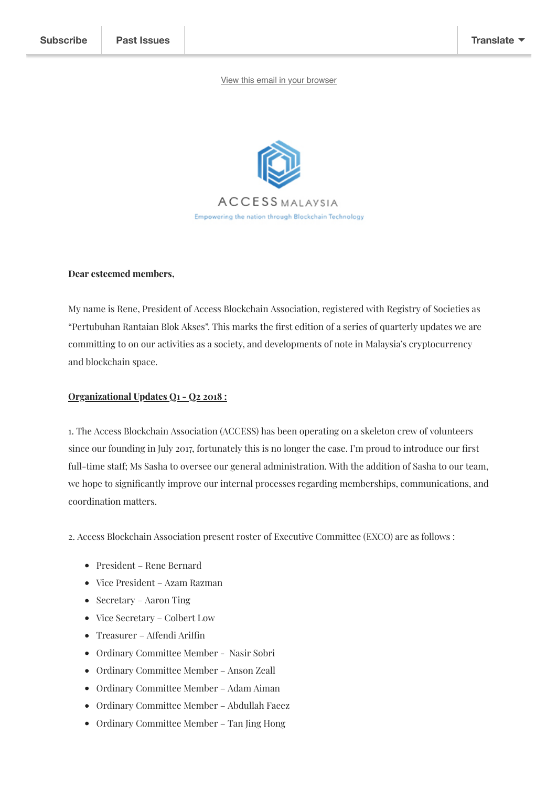## [View this email in your browser](https://mailchi.mp/222e1ca291b4/access-blockchain-association-my-q1-q22018-quarterly-update?e=[UNIQID])



#### **Dear esteemed members,**

My name is Rene, President of Access Blockchain Association, registered with Registry of Societies as "Pertubuhan Rantaian Blok Akses". This marks the first edition of a series of quarterly updates we are committing to on our activities as a society, and developments of note in Malaysia's cryptocurrency and blockchain space.

## **Organizational Updates Q1 - Q2 2018 :**

1. The Access Blockchain Association (ACCESS) has been operating on a skeleton crew of volunteers since our founding in July 2017, fortunately this is no longer the case. I'm proud to introduce our first full-time staff; Ms Sasha to oversee our general administration. With the addition of Sasha to our team, we hope to signicantly improve our internal processes regarding memberships, communications, and coordination matters.

2. Access Blockchain Association present roster of Executive Committee (EXCO) are as follows :

- President Rene Bernard
- Vice President Azam Razman
- Secretary Aaron Ting
- Vice Secretary Colbert Low
- $\bullet$  Treasurer Affendi Ariffin
- Ordinary Committee Member Nasir Sobri
- Ordinary Committee Member Anson Zeall
- Ordinary Committee Member Adam Aiman
- Ordinary Committee Member Abdullah Faeez
- Ordinary Committee Member Tan Jing Hong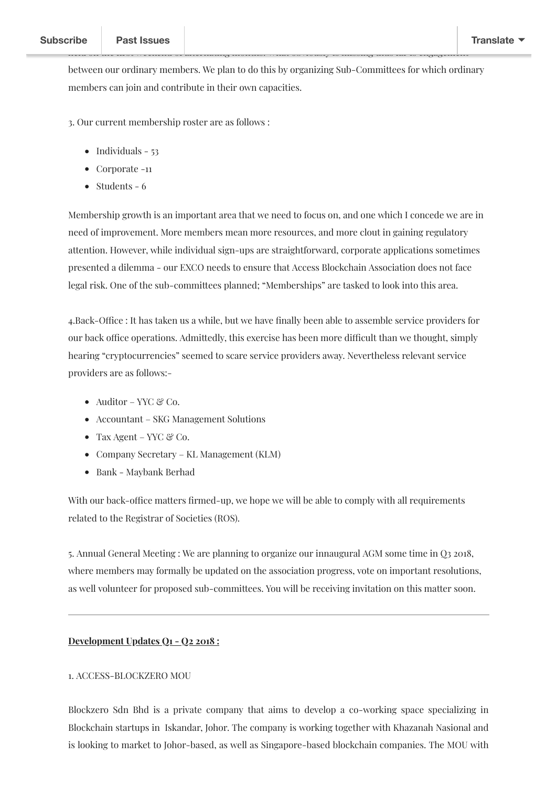held on the rst weekend of alternating months. What obviously is missing thus far is engagement

3. Our current membership roster are as follows :

- $\bullet$  Individuals 53
- Corporate -11
- $\bullet$  Students 6

Membership growth is an important area that we need to focus on, and one which I concede we are in need of improvement. More members mean more resources, and more clout in gaining regulatory attention. However, while individual sign-ups are straightforward, corporate applications sometimes presented a dilemma - our EXCO needs to ensure that Access Blockchain Association does not face legal risk. One of the sub-committees planned; "Memberships" are tasked to look into this area.

4. Back-Office : It has taken us a while, but we have finally been able to assemble service providers for our back office operations. Admittedly, this exercise has been more difficult than we thought, simply hearing "cryptocurrencies" seemed to scare service providers away. Nevertheless relevant service providers are as follows:-

- Auditor YYC & Co.
- Accountant SKG Management Solutions
- Tax Agent YYC  $\mathcal C$  Co.
- Company Secretary KL Management (KLM)
- Bank Maybank Berhad

With our back-office matters firmed-up, we hope we will be able to comply with all requirements related to the Registrar of Societies (ROS).

5. Annual General Meeting : We are planning to organize our innaugural AGM some time in Q3 2018, where members may formally be updated on the association progress, vote on important resolutions, as well volunteer for proposed sub-committees. You will be receiving invitation on this matter soon.

## **Development Updates Q1 - Q2 2018 :**

## 1. ACCESS-BLOCKZERO MOU

Blockzero Sdn Bhd is a private company that aims to develop a co-working space specializing in Blockchain startups in Iskandar, Johor. The company is working together with Khazanah Nasional and is looking to market to Johor-based, as well as Singapore-based blockchain companies. The MOU with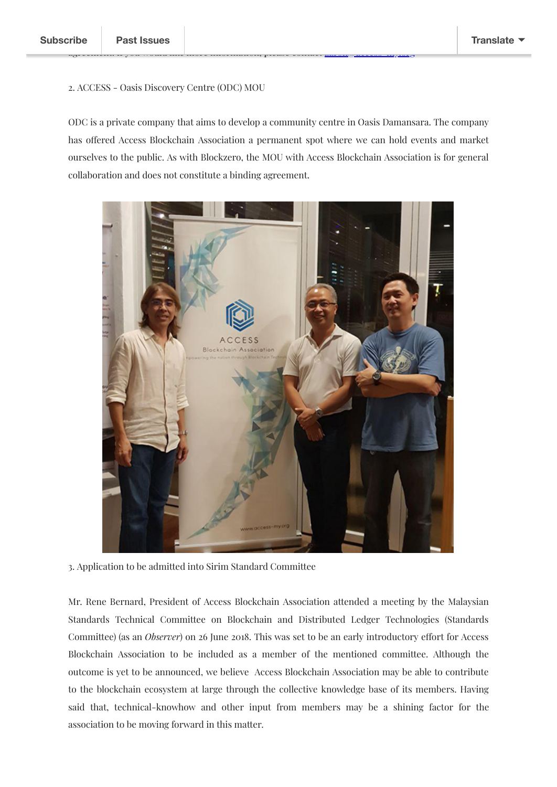## 2. ACCESS - Oasis Discovery Centre (ODC) MOU

ODC is a private company that aims to develop a community centre in Oasis Damansara. The company has offered Access Blockchain Association a permanent spot where we can hold events and market ourselves to the public. As with Blockzero, the MOU with Access Blockchain Association is for general collaboration and does not constitute a binding agreement.

agreement. If you would more information, please more information, please contact and the my.org. my.



3. Application to be admitted into Sirim Standard Committee

Mr. Rene Bernard, President of Access Blockchain Association attended a meeting by the Malaysian Standards Technical Committee on Blockchain and Distributed Ledger Technologies (Standards Committee) (as an *Observer*) on 26 June 2018. This was set to be an early introductory effort for Access Blockchain Association to be included as a member of the mentioned committee. Although the outcome is yet to be announced, we believe Access Blockchain Association may be able to contribute to the blockchain ecosystem at large through the collective knowledge base of its members. Having said that, technical-knowhow and other input from members may be a shining factor for the association to be moving forward in this matter.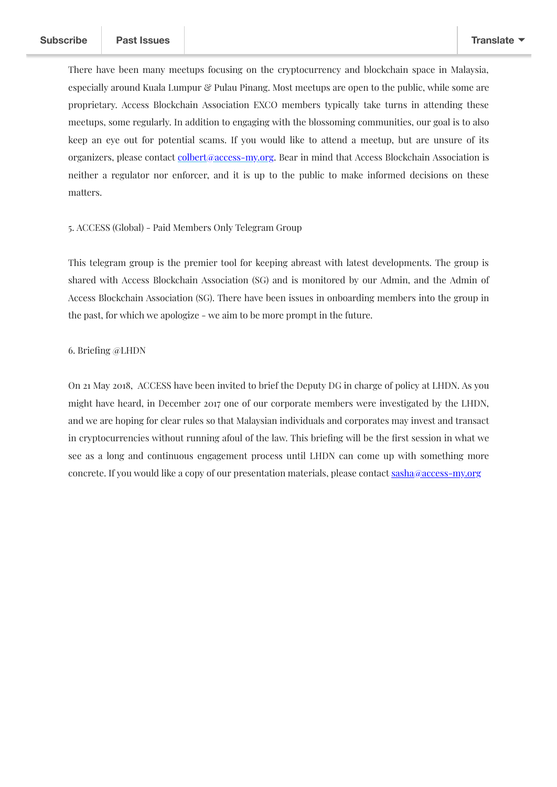There have been many meetups focusing on the cryptocurrency and blockchain space in Malaysia, especially around Kuala Lumpur & Pulau Pinang. Most meetups are open to the public, while some are proprietary. Access Blockchain Association EXCO members typically take turns in attending these meetups, some regularly. In addition to engaging with the blossoming communities, our goal is to also keep an eye out for potential scams. If you would like to attend a meetup, but are unsure of its organizers, please contact [colbert@access-my.org.](mailto:colbert@access-my.org) Bear in mind that Access Blockchain Association is neither a regulator nor enforcer, and it is up to the public to make informed decisions on these matters.

## 5. ACCESS (Global) - Paid Members Only Telegram Group

This telegram group is the premier tool for keeping abreast with latest developments. The group is shared with Access Blockchain Association (SG) and is monitored by our Admin, and the Admin of Access Blockchain Association (SG). There have been issues in onboarding members into the group in the past, for which we apologize - we aim to be more prompt in the future.

## 6. Briefing @LHDN

On 21 May 2018, ACCESS have been invited to brief the Deputy DG in charge of policy at LHDN. As you might have heard, in December 2017 one of our corporate members were investigated by the LHDN, and we are hoping for clear rules so that Malaysian individuals and corporates may invest and transact in cryptocurrencies without running afoul of the law. This briefing will be the first session in what we see as a long and continuous engagement process until LHDN can come up with something more concrete. If you would like a copy of our presentation materials, please contact sasha@access-my.org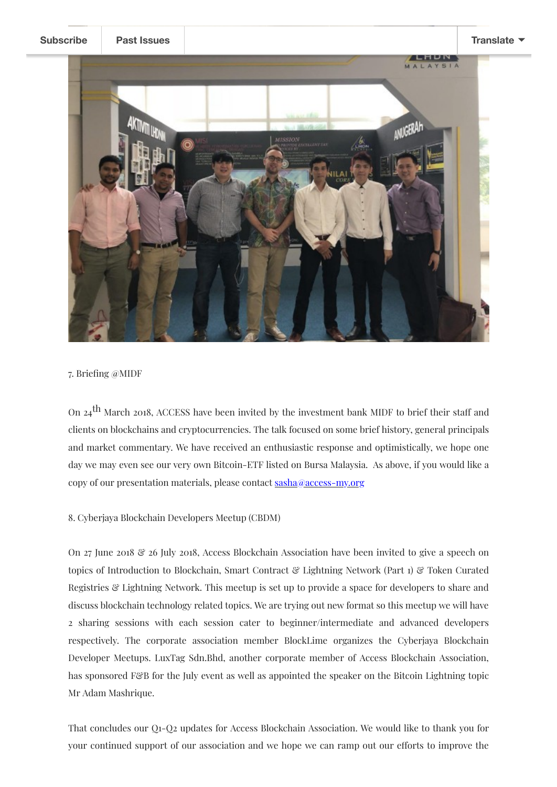**[Subscribe](http://eepurl.com/dCE3mP) Past [Issues](https://us18.campaign-archive.com/home/?u=08cb80f0367614fd075f66d13&id=42a9b35e82) [Translate](javascript:;)**ANUGERAH

7. Briefing @MIDF

On  $24$ <sup>th</sup> March 2018, ACCESS have been invited by the investment bank MIDF to brief their staff and clients on blockchains and cryptocurrencies. The talk focused on some brief history, general principals and market commentary. We have received an enthusiastic response and optimistically, we hope one day we may even see our very own Bitcoin-ETF listed on Bursa Malaysia. As above, if you would like a copy of our presentation materials, please contact sasha@access-my.org

# 8. Cyberjaya Blockchain Developers Meetup (CBDM)

On 27 June 2018  $\mathcal{C}$  26 July 2018, Access Blockchain Association have been invited to give a speech on topics of Introduction to Blockchain, Smart Contract & Lightning Network (Part 1) & Token Curated Registries & Lightning Network. This meetup is set up to provide a space for developers to share and discuss blockchain technology related topics. We are trying out new format so this meetup we will have 2 sharing sessions with each session cater to beginner/intermediate and advanced developers respectively. The corporate association member BlockLime organizes the Cyberjaya Blockchain Developer Meetups. LuxTag Sdn.Bhd, another corporate member of Access Blockchain Association, has sponsored F&B for the July event as well as appointed the speaker on the Bitcoin Lightning topic Mr Adam Mashrique.

That concludes our Q1-Q2 updates for Access Blockchain Association. We would like to thank you for your continued support of our association and we hope we can ramp out our efforts to improve the